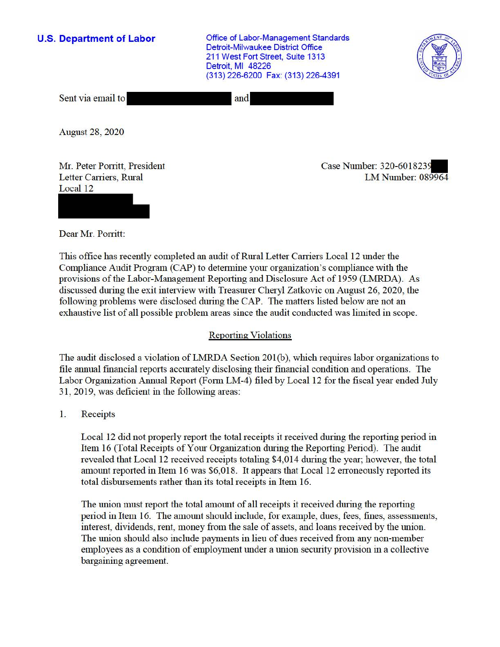| <b>U.S. Department of Labor</b>                                    | <b>Office of Labor-Management Standards</b><br>Detroit-Milwaukee District Office<br>211 West Fort Street, Suite 1313<br>Detroit, MI 48226<br>(313) 226-6200 Fax: (313) 226-4391 |                                                      |  |
|--------------------------------------------------------------------|---------------------------------------------------------------------------------------------------------------------------------------------------------------------------------|------------------------------------------------------|--|
| Sent via email to                                                  | and                                                                                                                                                                             |                                                      |  |
| <b>August 28, 2020</b>                                             |                                                                                                                                                                                 |                                                      |  |
| Mr. Peter Porritt, President<br>Letter Carriers, Rural<br>Local 12 |                                                                                                                                                                                 | Case Number: 320-6018239<br><b>LM Number: 089964</b> |  |
|                                                                    |                                                                                                                                                                                 |                                                      |  |

Dear Mr. Porritt:

This office has recently completed an audit of Rural Letter Carriers Local 12 under the Compliance Audit Program (CAP) to determine your organization's compliance with the provisions of the Labor-Management Reporting and Disclosure Act of 1959 (LMRDA). As discussed during the exit interview with Treasurer Cheryl Zatkovic on August 26, 2020, the following problems were disclosed during the CAP. The matters listed below are not an exhaustive list of all possible problem areas since the audit conducted was limited in scope.

## **Reporting Violations**

The audit disclosed a violation ofLMRDA Section 201(b), which requires labor organizations to file annual financial reports accurately disclosing their financial condition and operations. The Labor Organization Annual Report (Form LM-4) filed by Local 12 for the fiscal year ended July  $31, 2019$ , was deficient in the following areas:

1. Receipts

Local 12 did not properly report the total receipts it received during the reporting period in Item 16 (Total Receipts of Your Organization during the Reporting Period). The audit revealed that Local 12 received receipts totaling \$4,014 during the year; however, the total amount reported in Item 16 was \$6,018. It appears that Local 12 erroneously reported its total disbursements rather than its total receipts in Item 16.

The union must report the total amount of all receipts it received during the reporting period in Item 16. The amount should include, for example, dues, fees, fines, assessments, interest, dividends, rent, money from the sale of assets, and loans received by the union. The union should also include payments in lieu of dues received from any non-member employees as a condition of employment under a union security provision in a collective bargaining agreement.